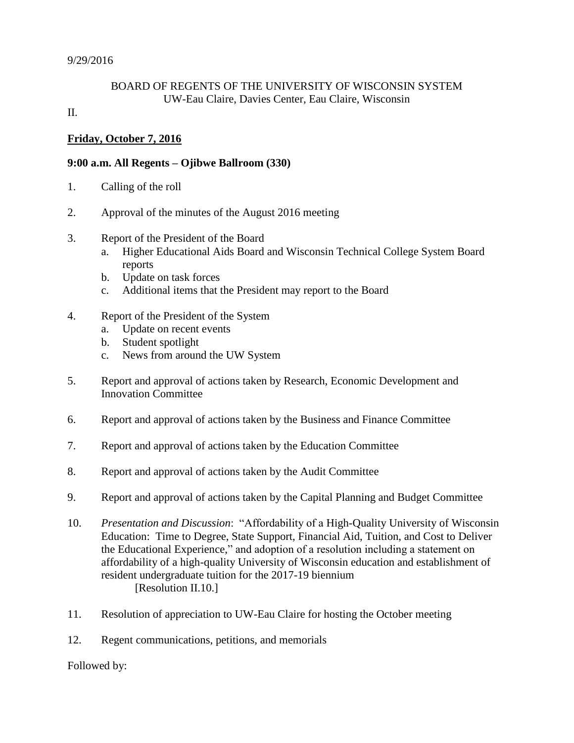### BOARD OF REGENTS OF THE UNIVERSITY OF WISCONSIN SYSTEM UW-Eau Claire, Davies Center, Eau Claire, Wisconsin

#### II.

# **Friday, October 7, 2016**

### **9:00 a.m. All Regents – Ojibwe Ballroom (330)**

- 1. Calling of the roll
- 2. Approval of the minutes of the August 2016 meeting
- 3. Report of the President of the Board
	- a. Higher Educational Aids Board and Wisconsin Technical College System Board reports
	- b. Update on task forces
	- c. Additional items that the President may report to the Board
- 4. Report of the President of the System
	- a. Update on recent events
	- b. Student spotlight
	- c. News from around the UW System
- 5. Report and approval of actions taken by Research, Economic Development and Innovation Committee
- 6. Report and approval of actions taken by the Business and Finance Committee
- 7. Report and approval of actions taken by the Education Committee
- 8. Report and approval of actions taken by the Audit Committee
- 9. Report and approval of actions taken by the Capital Planning and Budget Committee
- 10. *Presentation and Discussion*: "Affordability of a High-Quality University of Wisconsin Education: Time to Degree, State Support, Financial Aid, Tuition, and Cost to Deliver the Educational Experience," and adoption of a resolution including a statement on affordability of a high-quality University of Wisconsin education and establishment of resident undergraduate tuition for the 2017-19 biennium [Resolution II.10.]
- 11. Resolution of appreciation to UW-Eau Claire for hosting the October meeting
- 12. Regent communications, petitions, and memorials

Followed by: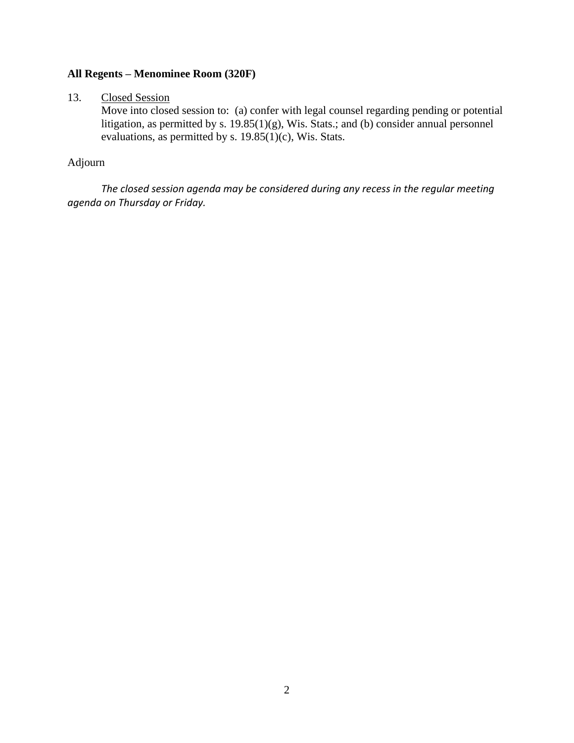# **All Regents – Menominee Room (320F)**

#### 13. Closed Session

Move into closed session to: (a) confer with legal counsel regarding pending or potential litigation, as permitted by s. 19.85(1)(g), Wis. Stats.; and (b) consider annual personnel evaluations, as permitted by s.  $19.85(1)(c)$ , Wis. Stats.

## Adjourn

*The closed session agenda may be considered during any recess in the regular meeting agenda on Thursday or Friday.*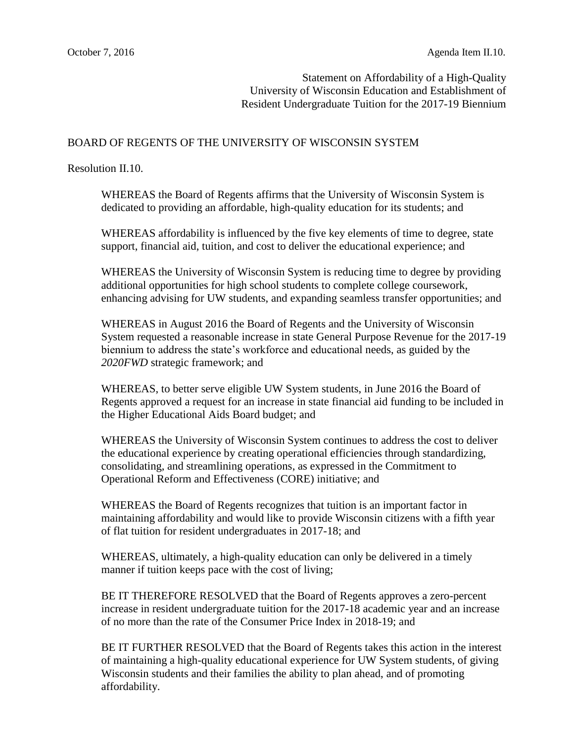Statement on Affordability of a High-Quality University of Wisconsin Education and Establishment of Resident Undergraduate Tuition for the 2017-19 Biennium

#### BOARD OF REGENTS OF THE UNIVERSITY OF WISCONSIN SYSTEM

Resolution II.10.

WHEREAS the Board of Regents affirms that the University of Wisconsin System is dedicated to providing an affordable, high-quality education for its students; and

WHEREAS affordability is influenced by the five key elements of time to degree, state support, financial aid, tuition, and cost to deliver the educational experience; and

WHEREAS the University of Wisconsin System is reducing time to degree by providing additional opportunities for high school students to complete college coursework, enhancing advising for UW students, and expanding seamless transfer opportunities; and

WHEREAS in August 2016 the Board of Regents and the University of Wisconsin System requested a reasonable increase in state General Purpose Revenue for the 2017-19 biennium to address the state's workforce and educational needs, as guided by the *2020FWD* strategic framework; and

WHEREAS, to better serve eligible UW System students, in June 2016 the Board of Regents approved a request for an increase in state financial aid funding to be included in the Higher Educational Aids Board budget; and

WHEREAS the University of Wisconsin System continues to address the cost to deliver the educational experience by creating operational efficiencies through standardizing, consolidating, and streamlining operations, as expressed in the Commitment to Operational Reform and Effectiveness (CORE) initiative; and

WHEREAS the Board of Regents recognizes that tuition is an important factor in maintaining affordability and would like to provide Wisconsin citizens with a fifth year of flat tuition for resident undergraduates in 2017-18; and

WHEREAS, ultimately, a high-quality education can only be delivered in a timely manner if tuition keeps pace with the cost of living;

BE IT THEREFORE RESOLVED that the Board of Regents approves a zero-percent increase in resident undergraduate tuition for the 2017-18 academic year and an increase of no more than the rate of the Consumer Price Index in 2018-19; and

BE IT FURTHER RESOLVED that the Board of Regents takes this action in the interest of maintaining a high-quality educational experience for UW System students, of giving Wisconsin students and their families the ability to plan ahead, and of promoting affordability.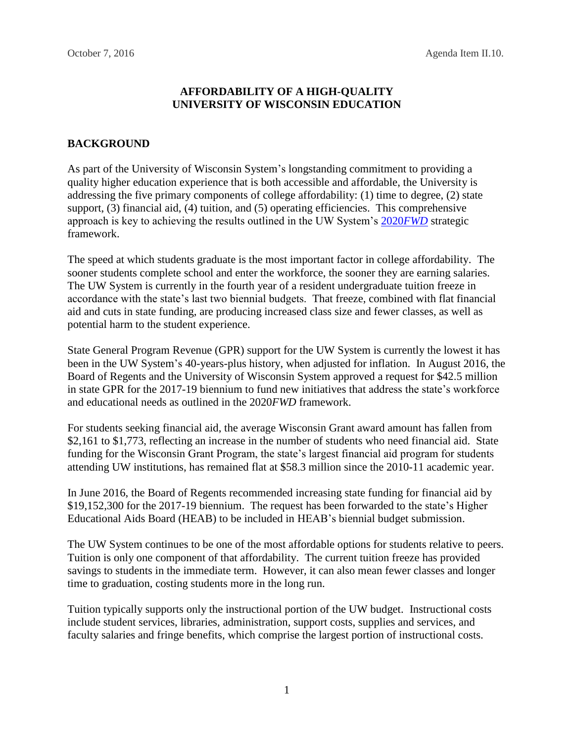### **AFFORDABILITY OF A HIGH-QUALITY UNIVERSITY OF WISCONSIN EDUCATION**

### **BACKGROUND**

As part of the University of Wisconsin System's longstanding commitment to providing a quality higher education experience that is both accessible and affordable, the University is addressing the five primary components of college affordability: (1) time to degree, (2) state support, (3) financial aid, (4) tuition, and (5) operating efficiencies. This comprehensive approach is key to achieving the results outlined in the UW System's [2020](https://www.wisconsin.edu/2020FWD/)*FWD* strategic framework.

The speed at which students graduate is the most important factor in college affordability. The sooner students complete school and enter the workforce, the sooner they are earning salaries. The UW System is currently in the fourth year of a resident undergraduate tuition freeze in accordance with the state's last two biennial budgets. That freeze, combined with flat financial aid and cuts in state funding, are producing increased class size and fewer classes, as well as potential harm to the student experience.

State General Program Revenue (GPR) support for the UW System is currently the lowest it has been in the UW System's 40-years-plus history, when adjusted for inflation. In August 2016, the Board of Regents and the University of Wisconsin System approved a request for \$42.5 million in state GPR for the 2017-19 biennium to fund new initiatives that address the state's workforce and educational needs as outlined in the 2020*FWD* framework.

For students seeking financial aid, the average Wisconsin Grant award amount has fallen from \$2,161 to \$1,773, reflecting an increase in the number of students who need financial aid. State funding for the Wisconsin Grant Program, the state's largest financial aid program for students attending UW institutions, has remained flat at \$58.3 million since the 2010-11 academic year.

In June 2016, the Board of Regents recommended increasing state funding for financial aid by \$19,152,300 for the 2017-19 biennium. The request has been forwarded to the state's Higher Educational Aids Board (HEAB) to be included in HEAB's biennial budget submission.

The UW System continues to be one of the most affordable options for students relative to peers. Tuition is only one component of that affordability. The current tuition freeze has provided savings to students in the immediate term. However, it can also mean fewer classes and longer time to graduation, costing students more in the long run.

Tuition typically supports only the instructional portion of the UW budget. Instructional costs include student services, libraries, administration, support costs, supplies and services, and faculty salaries and fringe benefits, which comprise the largest portion of instructional costs.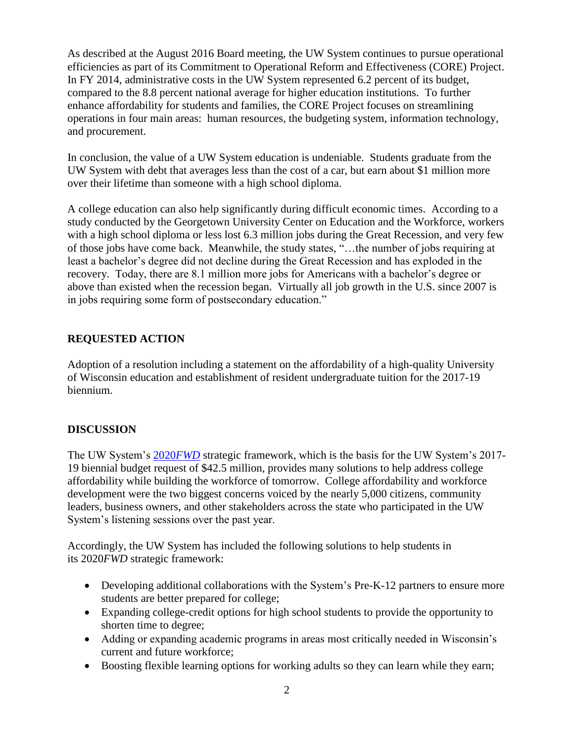As described at the August 2016 Board meeting, the UW System continues to pursue operational efficiencies as part of its Commitment to Operational Reform and Effectiveness (CORE) Project. In FY 2014, administrative costs in the UW System represented 6.2 percent of its budget, compared to the 8.8 percent national average for higher education institutions. To further enhance affordability for students and families, the CORE Project focuses on streamlining operations in four main areas: human resources, the budgeting system, information technology, and procurement.

In conclusion, the value of a UW System education is undeniable. Students graduate from the UW System with debt that averages less than the cost of a car, but earn about \$1 million more over their lifetime than someone with a high school diploma.

A college education can also help significantly during difficult economic times. According to a study conducted by the Georgetown University Center on Education and the Workforce, workers with a high school diploma or less lost 6.3 million jobs during the Great Recession, and very few of those jobs have come back. Meanwhile, the study states, "…the number of jobs requiring at least a bachelor's degree did not decline during the Great Recession and has exploded in the recovery. Today, there are 8.1 million more jobs for Americans with a bachelor's degree or above than existed when the recession began. Virtually all job growth in the U.S. since 2007 is in jobs requiring some form of postsecondary education."

## **REQUESTED ACTION**

Adoption of a resolution including a statement on the affordability of a high-quality University of Wisconsin education and establishment of resident undergraduate tuition for the 2017-19 biennium.

## **DISCUSSION**

The UW System's 2020*[FWD](https://www.wisconsin.edu/2020FWD/)* strategic framework, which is the basis for the UW System's 2017- 19 biennial budget request of \$42.5 million, provides many solutions to help address college affordability while building the workforce of tomorrow. College affordability and workforce development were the two biggest concerns voiced by the nearly 5,000 citizens, community leaders, business owners, and other stakeholders across the state who participated in the UW System's listening sessions over the past year.

Accordingly, the UW System has included the following solutions to help students in its 2020*[FWD](https://www.wisconsin.edu/2020FWD/download/2020FWD-Framework_spreads.pdf)* strategic framework:

- Developing additional collaborations with the System's Pre-K-12 partners to ensure more students are better prepared for college;
- Expanding college-credit options for high school students to provide the opportunity to shorten time to degree;
- Adding or expanding academic programs in areas most critically needed in Wisconsin's current and future workforce;
- Boosting flexible learning options for working adults so they can learn while they earn;